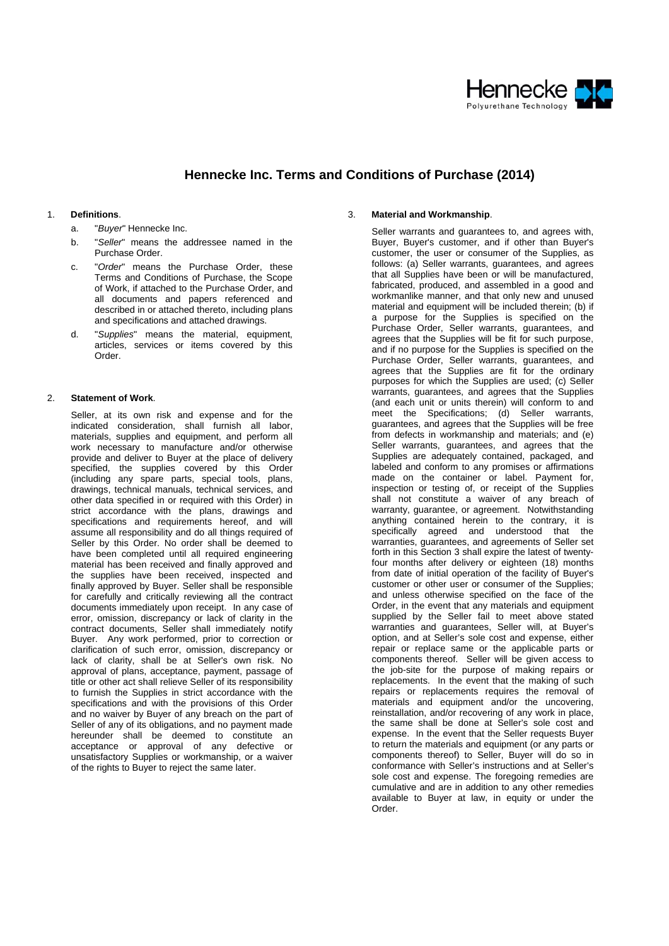

## **Hennecke Inc. Terms and Conditions of Purchase (2014)**

## 1. **Definitions**.

- a. "*Buyer*" Hennecke Inc.
- b. "*Seller*" means the addressee named in the Purchase Order.
- c. "*Order*" means the Purchase Order, these Terms and Conditions of Purchase, the Scope of Work, if attached to the Purchase Order, and all documents and papers referenced and described in or attached thereto, including plans and specifications and attached drawings.
- d. "*Supplies*" means the material, equipment, articles, services or items covered by this Order.

## 2. **Statement of Work**.

Seller, at its own risk and expense and for the indicated consideration, shall furnish all labor, materials, supplies and equipment, and perform all work necessary to manufacture and/or otherwise provide and deliver to Buyer at the place of delivery specified, the supplies covered by this Order (including any spare parts, special tools, plans, drawings, technical manuals, technical services, and other data specified in or required with this Order) in strict accordance with the plans, drawings and specifications and requirements hereof, and will assume all responsibility and do all things required of Seller by this Order. No order shall be deemed to have been completed until all required engineering material has been received and finally approved and the supplies have been received, inspected and finally approved by Buyer. Seller shall be responsible for carefully and critically reviewing all the contract documents immediately upon receipt. In any case of error, omission, discrepancy or lack of clarity in the contract documents, Seller shall immediately notify Buyer. Any work performed, prior to correction or clarification of such error, omission, discrepancy or lack of clarity, shall be at Seller's own risk. No approval of plans, acceptance, payment, passage of title or other act shall relieve Seller of its responsibility to furnish the Supplies in strict accordance with the specifications and with the provisions of this Order and no waiver by Buyer of any breach on the part of Seller of any of its obligations, and no payment made hereunder shall be deemed to constitute an acceptance or approval of any defective or unsatisfactory Supplies or workmanship, or a waiver of the rights to Buyer to reject the same later.

#### 3. **Material and Workmanship**.

Seller warrants and guarantees to, and agrees with, Buyer, Buyer's customer, and if other than Buyer's customer, the user or consumer of the Supplies, as follows: (a) Seller warrants, guarantees, and agrees that all Supplies have been or will be manufactured, fabricated, produced, and assembled in a good and workmanlike manner, and that only new and unused material and equipment will be included therein; (b) if a purpose for the Supplies is specified on the Purchase Order, Seller warrants, guarantees, and agrees that the Supplies will be fit for such purpose, and if no purpose for the Supplies is specified on the Purchase Order, Seller warrants, guarantees, and agrees that the Supplies are fit for the ordinary purposes for which the Supplies are used; (c) Seller warrants, guarantees, and agrees that the Supplies (and each unit or units therein) will conform to and meet the Specifications: (d) Seller warrants, guarantees, and agrees that the Supplies will be free from defects in workmanship and materials; and (e) Seller warrants, guarantees, and agrees that the Supplies are adequately contained, packaged, and labeled and conform to any promises or affirmations made on the container or label. Payment for, inspection or testing of, or receipt of the Supplies shall not constitute a waiver of any breach of warranty, guarantee, or agreement. Notwithstanding anything contained herein to the contrary, it is specifically agreed and understood that the warranties, guarantees, and agreements of Seller set forth in this Section 3 shall expire the latest of twentyfour months after delivery or eighteen (18) months from date of initial operation of the facility of Buyer's customer or other user or consumer of the Supplies; and unless otherwise specified on the face of the Order, in the event that any materials and equipment supplied by the Seller fail to meet above stated warranties and guarantees, Seller will, at Buyer's option, and at Seller's sole cost and expense, either repair or replace same or the applicable parts or components thereof. Seller will be given access to the job-site for the purpose of making repairs or replacements. In the event that the making of such repairs or replacements requires the removal of materials and equipment and/or the uncovering, reinstallation, and/or recovering of any work in place, the same shall be done at Seller's sole cost and expense. In the event that the Seller requests Buyer to return the materials and equipment (or any parts or components thereof) to Seller, Buyer will do so in conformance with Seller's instructions and at Seller's sole cost and expense. The foregoing remedies are cumulative and are in addition to any other remedies available to Buyer at law, in equity or under the Order.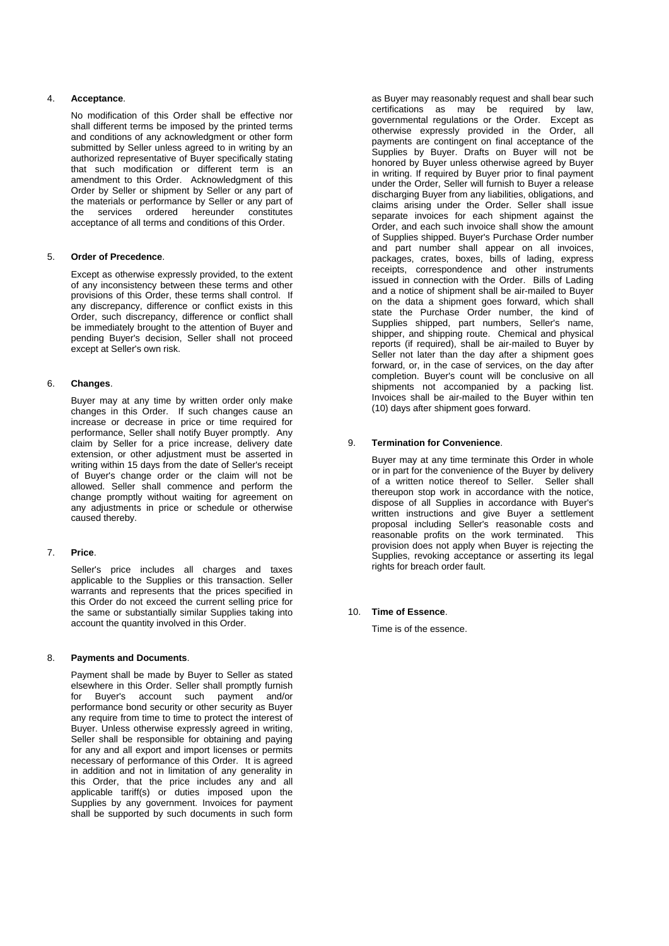# 4. **Acceptance**.

No modification of this Order shall be effective nor shall different terms be imposed by the printed terms and conditions of any acknowledgment or other form submitted by Seller unless agreed to in writing by an authorized representative of Buyer specifically stating that such modification or different term is an amendment to this Order. Acknowledgment of this Order by Seller or shipment by Seller or any part of the materials or performance by Seller or any part of the services ordered hereunder constitutes acceptance of all terms and conditions of this Order.

## 5. **Order of Precedence**.

Except as otherwise expressly provided, to the extent of any inconsistency between these terms and other provisions of this Order, these terms shall control. If any discrepancy, difference or conflict exists in this Order, such discrepancy, difference or conflict shall be immediately brought to the attention of Buyer and pending Buyer's decision, Seller shall not proceed except at Seller's own risk.

## 6. **Changes**.

Buyer may at any time by written order only make changes in this Order. If such changes cause an increase or decrease in price or time required for performance, Seller shall notify Buyer promptly. Any claim by Seller for a price increase, delivery date extension, or other adjustment must be asserted in writing within 15 days from the date of Seller's receipt of Buyer's change order or the claim will not be allowed. Seller shall commence and perform the change promptly without waiting for agreement on any adjustments in price or schedule or otherwise caused thereby.

## 7. **Price**.

Seller's price includes all charges and taxes applicable to the Supplies or this transaction. Seller warrants and represents that the prices specified in this Order do not exceed the current selling price for the same or substantially similar Supplies taking into account the quantity involved in this Order.

## 8. **Payments and Documents**.

Payment shall be made by Buyer to Seller as stated elsewhere in this Order. Seller shall promptly furnish for Buyer's account such payment and/or performance bond security or other security as Buyer any require from time to time to protect the interest of Buyer. Unless otherwise expressly agreed in writing, Seller shall be responsible for obtaining and paying for any and all export and import licenses or permits necessary of performance of this Order. It is agreed in addition and not in limitation of any generality in this Order, that the price includes any and all applicable tariff(s) or duties imposed upon the Supplies by any government. Invoices for payment shall be supported by such documents in such form as Buyer may reasonably request and shall bear such certifications as may be required by law, governmental regulations or the Order. Except as otherwise expressly provided in the Order, all payments are contingent on final acceptance of the Supplies by Buyer. Drafts on Buyer will not be honored by Buyer unless otherwise agreed by Buyer in writing. If required by Buyer prior to final payment under the Order, Seller will furnish to Buyer a release discharging Buyer from any liabilities, obligations, and claims arising under the Order. Seller shall issue separate invoices for each shipment against the Order, and each such invoice shall show the amount of Supplies shipped. Buyer's Purchase Order number and part number shall appear on all invoices, packages, crates, boxes, bills of lading, express receipts, correspondence and other instruments issued in connection with the Order. Bills of Lading and a notice of shipment shall be air-mailed to Buyer on the data a shipment goes forward, which shall state the Purchase Order number, the kind of Supplies shipped, part numbers, Seller's name, shipper, and shipping route. Chemical and physical reports (if required), shall be air-mailed to Buyer by Seller not later than the day after a shipment goes forward, or, in the case of services, on the day after completion. Buyer's count will be conclusive on all shipments not accompanied by a packing list. Invoices shall be air-mailed to the Buyer within ten (10) days after shipment goes forward.

## 9. **Termination for Convenience**.

Buyer may at any time terminate this Order in whole or in part for the convenience of the Buyer by delivery of a written notice thereof to Seller. Seller shall thereupon stop work in accordance with the notice, dispose of all Supplies in accordance with Buyer's written instructions and give Buyer a settlement proposal including Seller's reasonable costs and reasonable profits on the work terminated. This provision does not apply when Buyer is rejecting the Supplies, revoking acceptance or asserting its legal rights for breach order fault.

## 10. **Time of Essence**.

Time is of the essence.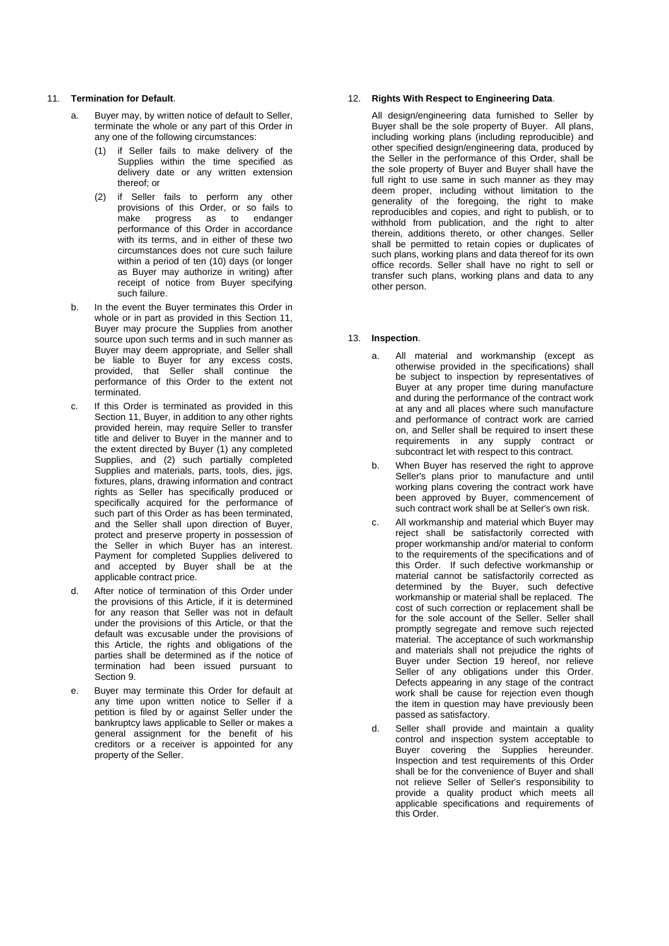## 11. **Termination for Default**.

- a. Buyer may, by written notice of default to Seller, terminate the whole or any part of this Order in any one of the following circumstances:
	- (1) if Seller fails to make delivery of the Supplies within the time specified as delivery date or any written extension thereof; or
	- (2) if Seller fails to perform any other provisions of this Order, or so fails to make progress as to endanger performance of this Order in accordance with its terms, and in either of these two circumstances does not cure such failure within a period of ten (10) days (or longer as Buyer may authorize in writing) after receipt of notice from Buyer specifying such failure.
- b. In the event the Buyer terminates this Order in whole or in part as provided in this Section 11, Buyer may procure the Supplies from another source upon such terms and in such manner as Buyer may deem appropriate, and Seller shall be liable to Buyer for any excess costs, provided, that Seller shall continue the performance of this Order to the extent not terminated.
- c. If this Order is terminated as provided in this Section 11, Buyer, in addition to any other rights provided herein, may require Seller to transfer title and deliver to Buyer in the manner and to the extent directed by Buyer (1) any completed Supplies, and (2) such partially completed Supplies and materials, parts, tools, dies, jigs, fixtures, plans, drawing information and contract rights as Seller has specifically produced or specifically acquired for the performance of such part of this Order as has been terminated, and the Seller shall upon direction of Buyer, protect and preserve property in possession of the Seller in which Buyer has an interest. Payment for completed Supplies delivered to and accepted by Buyer shall be at the applicable contract price.
- d. After notice of termination of this Order under the provisions of this Article, if it is determined for any reason that Seller was not in default under the provisions of this Article, or that the default was excusable under the provisions of this Article, the rights and obligations of the parties shall be determined as if the notice of termination had been issued pursuant to Section 9.
- e. Buyer may terminate this Order for default at any time upon written notice to Seller if a petition is filed by or against Seller under the bankruptcy laws applicable to Seller or makes a general assignment for the benefit of his creditors or a receiver is appointed for any property of the Seller.

## 12. **Rights With Respect to Engineering Data**.

All design/engineering data furnished to Seller by Buyer shall be the sole property of Buyer. All plans, including working plans (including reproducible) and other specified design/engineering data, produced by the Seller in the performance of this Order, shall be the sole property of Buyer and Buyer shall have the full right to use same in such manner as they may deem proper, including without limitation to the generality of the foregoing, the right to make reproducibles and copies, and right to publish, or to withhold from publication, and the right to alter therein, additions thereto, or other changes. Seller shall be permitted to retain copies or duplicates of such plans, working plans and data thereof for its own office records. Seller shall have no right to sell or transfer such plans, working plans and data to any other person.

## 13. **Inspection**.

- a. All material and workmanship (except as otherwise provided in the specifications) shall be subject to inspection by representatives of Buyer at any proper time during manufacture and during the performance of the contract work at any and all places where such manufacture and performance of contract work are carried on, and Seller shall be required to insert these requirements in any supply contract or subcontract let with respect to this contract.
- b. When Buyer has reserved the right to approve Seller's plans prior to manufacture and until working plans covering the contract work have been approved by Buyer, commencement of such contract work shall be at Seller's own risk.
- c. All workmanship and material which Buyer may reject shall be satisfactorily corrected with proper workmanship and/or material to conform to the requirements of the specifications and of this Order. If such defective workmanship or material cannot be satisfactorily corrected as determined by the Buyer, such defective workmanship or material shall be replaced. The cost of such correction or replacement shall be for the sole account of the Seller. Seller shall promptly segregate and remove such rejected material. The acceptance of such workmanship and materials shall not prejudice the rights of Buyer under Section 19 hereof, nor relieve Seller of any obligations under this Order. Defects appearing in any stage of the contract work shall be cause for rejection even though the item in question may have previously been passed as satisfactory.
- d. Seller shall provide and maintain a quality control and inspection system acceptable to Buyer covering the Supplies hereunder. Inspection and test requirements of this Order shall be for the convenience of Buyer and shall not relieve Seller of Seller's responsibility to provide a quality product which meets all applicable specifications and requirements of this Order.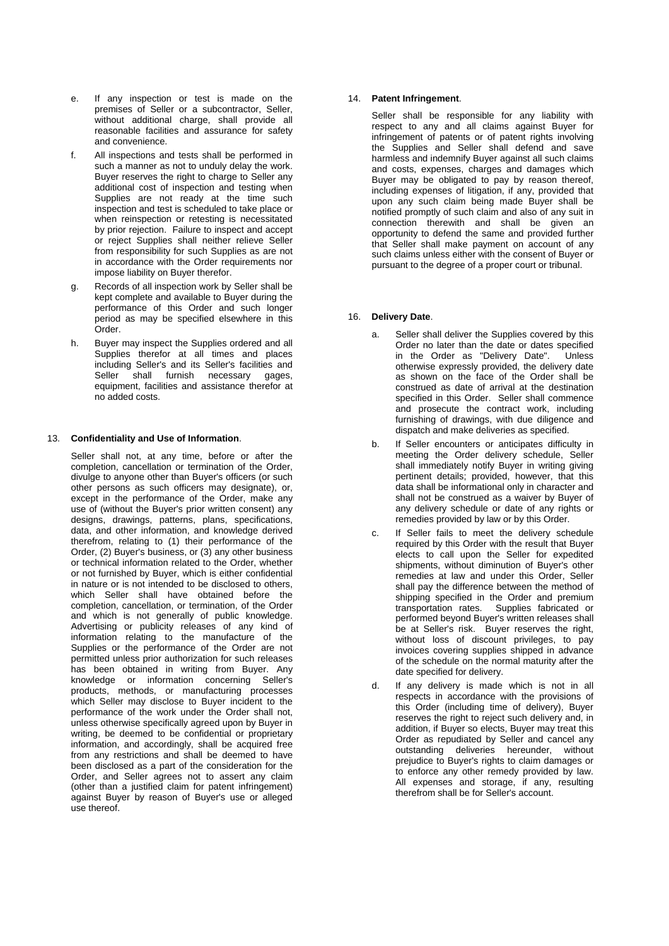- e. If any inspection or test is made on the premises of Seller or a subcontractor, Seller, without additional charge, shall provide all reasonable facilities and assurance for safety and convenience.
- f. All inspections and tests shall be performed in such a manner as not to unduly delay the work. Buyer reserves the right to charge to Seller any additional cost of inspection and testing when Supplies are not ready at the time such inspection and test is scheduled to take place or when reinspection or retesting is necessitated by prior rejection. Failure to inspect and accept or reject Supplies shall neither relieve Seller from responsibility for such Supplies as are not in accordance with the Order requirements nor impose liability on Buyer therefor.
- g. Records of all inspection work by Seller shall be kept complete and available to Buyer during the performance of this Order and such longer period as may be specified elsewhere in this Order.
- h. Buyer may inspect the Supplies ordered and all Supplies therefor at all times and places including Seller's and its Seller's facilities and Seller shall furnish necessary gages, equipment, facilities and assistance therefor at no added costs.

## 13. **Confidentiality and Use of Information**.

Seller shall not, at any time, before or after the completion, cancellation or termination of the Order, divulge to anyone other than Buyer's officers (or such other persons as such officers may designate), or, except in the performance of the Order, make any use of (without the Buyer's prior written consent) any designs, drawings, patterns, plans, specifications, data, and other information, and knowledge derived therefrom, relating to (1) their performance of the Order, (2) Buyer's business, or (3) any other business or technical information related to the Order, whether or not furnished by Buyer, which is either confidential in nature or is not intended to be disclosed to others, which Seller shall have obtained before the completion, cancellation, or termination, of the Order and which is not generally of public knowledge. Advertising or publicity releases of any kind of information relating to the manufacture of the Supplies or the performance of the Order are not permitted unless prior authorization for such releases has been obtained in writing from Buyer. Any knowledge or information concerning Seller's products, methods, or manufacturing processes which Seller may disclose to Buyer incident to the performance of the work under the Order shall not, unless otherwise specifically agreed upon by Buyer in writing, be deemed to be confidential or proprietary information, and accordingly, shall be acquired free from any restrictions and shall be deemed to have been disclosed as a part of the consideration for the Order, and Seller agrees not to assert any claim (other than a justified claim for patent infringement) against Buyer by reason of Buyer's use or alleged use thereof.

## 14. **Patent Infringement**.

Seller shall be responsible for any liability with respect to any and all claims against Buyer for infringement of patents or of patent rights involving the Supplies and Seller shall defend and save harmless and indemnify Buyer against all such claims and costs, expenses, charges and damages which Buyer may be obligated to pay by reason thereof, including expenses of litigation, if any, provided that upon any such claim being made Buyer shall be notified promptly of such claim and also of any suit in connection therewith and shall be given an opportunity to defend the same and provided further that Seller shall make payment on account of any such claims unless either with the consent of Buyer or pursuant to the degree of a proper court or tribunal.

## 16. **Delivery Date**.

- a. Seller shall deliver the Supplies covered by this Order no later than the date or dates specified in the Order as "Delivery Date". Unless otherwise expressly provided, the delivery date as shown on the face of the Order shall be construed as date of arrival at the destination specified in this Order. Seller shall commence and prosecute the contract work, including furnishing of drawings, with due diligence and dispatch and make deliveries as specified.
- b. If Seller encounters or anticipates difficulty in meeting the Order delivery schedule, Seller shall immediately notify Buyer in writing giving pertinent details; provided, however, that this data shall be informational only in character and shall not be construed as a waiver by Buyer of any delivery schedule or date of any rights or remedies provided by law or by this Order.
- c. If Seller fails to meet the delivery schedule required by this Order with the result that Buyer elects to call upon the Seller for expedited shipments, without diminution of Buyer's other remedies at law and under this Order, Seller shall pay the difference between the method of shipping specified in the Order and premium transportation rates. Supplies fabricated or performed beyond Buyer's written releases shall be at Seller's risk. Buyer reserves the right, without loss of discount privileges, to pay invoices covering supplies shipped in advance of the schedule on the normal maturity after the date specified for delivery.
- d. If any delivery is made which is not in all respects in accordance with the provisions of this Order (including time of delivery), Buyer reserves the right to reject such delivery and, in addition, if Buyer so elects, Buyer may treat this Order as repudiated by Seller and cancel any outstanding deliveries hereunder, without prejudice to Buyer's rights to claim damages or to enforce any other remedy provided by law. All expenses and storage, if any, resulting therefrom shall be for Seller's account.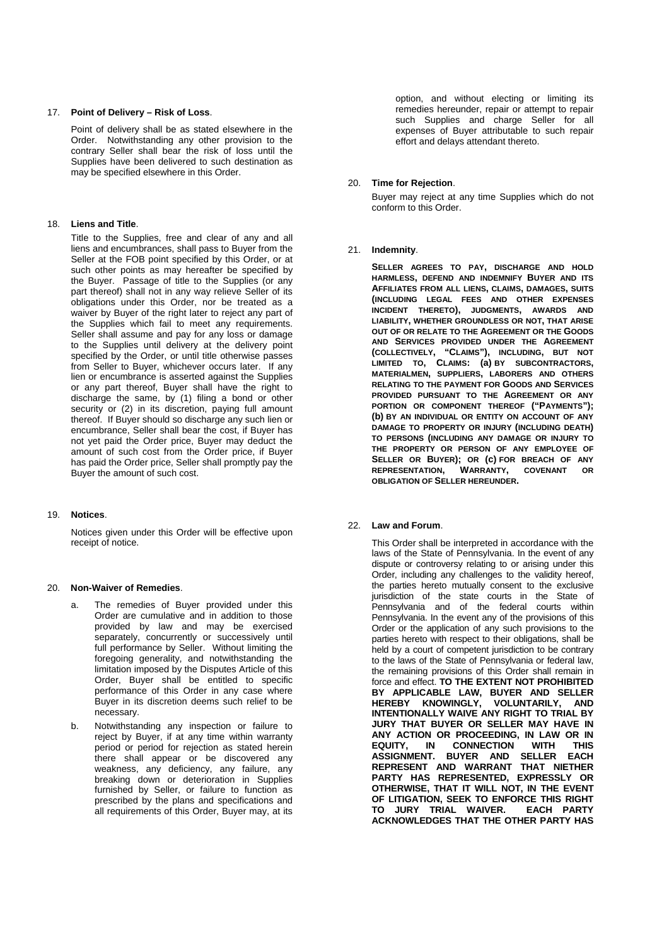#### 17. **Point of Delivery – Risk of Loss**.

Point of delivery shall be as stated elsewhere in the Order. Notwithstanding any other provision to the contrary Seller shall bear the risk of loss until the Supplies have been delivered to such destination as may be specified elsewhere in this Order.

### 18. **Liens and Title**.

Title to the Supplies, free and clear of any and all liens and encumbrances, shall pass to Buyer from the Seller at the FOB point specified by this Order, or at such other points as may hereafter be specified by the Buyer. Passage of title to the Supplies (or any part thereof) shall not in any way relieve Seller of its obligations under this Order, nor be treated as a waiver by Buyer of the right later to reject any part of the Supplies which fail to meet any requirements. Seller shall assume and pay for any loss or damage to the Supplies until delivery at the delivery point specified by the Order, or until title otherwise passes from Seller to Buyer, whichever occurs later. If any lien or encumbrance is asserted against the Supplies or any part thereof, Buyer shall have the right to discharge the same, by (1) filing a bond or other security or (2) in its discretion, paying full amount thereof. If Buyer should so discharge any such lien or encumbrance, Seller shall bear the cost, if Buyer has not yet paid the Order price, Buyer may deduct the amount of such cost from the Order price, if Buyer has paid the Order price, Seller shall promptly pay the Buyer the amount of such cost.

#### 19. **Notices**.

Notices given under this Order will be effective upon receipt of notice.

#### 20. **Non-Waiver of Remedies**.

- a. The remedies of Buyer provided under this Order are cumulative and in addition to those provided by law and may be exercised separately, concurrently or successively until full performance by Seller. Without limiting the foregoing generality, and notwithstanding the limitation imposed by the Disputes Article of this Order, Buyer shall be entitled to specific performance of this Order in any case where Buyer in its discretion deems such relief to be necessary.
- b. Notwithstanding any inspection or failure to reject by Buyer, if at any time within warranty period or period for rejection as stated herein there shall appear or be discovered any weakness, any deficiency, any failure, any breaking down or deterioration in Supplies furnished by Seller, or failure to function as prescribed by the plans and specifications and all requirements of this Order, Buyer may, at its

option, and without electing or limiting its remedies hereunder, repair or attempt to repair such Supplies and charge Seller for all expenses of Buyer attributable to such repair effort and delays attendant thereto.

#### 20. **Time for Rejection**.

Buyer may reject at any time Supplies which do not conform to this Order.

#### 21. **Indemnity**.

**SELLER AGREES TO PAY, DISCHARGE AND HOLD HARMLESS, DEFEND AND INDEMNIFY BUYER AND ITS AFFILIATES FROM ALL LIENS, CLAIMS, DAMAGES, SUITS (INCLUDING LEGAL FEES AND OTHER EXPENSES INCIDENT THERETO), JUDGMENTS, AWARDS AND LIABILITY, WHETHER GROUNDLESS OR NOT, THAT ARISE OUT OF OR RELATE TO THE AGREEMENT OR THE GOODS AND SERVICES PROVIDED UNDER THE AGREEMENT (COLLECTIVELY, "CLAIMS"), INCLUDING, BUT NOT LIMITED TO, CLAIMS: (a) BY SUBCONTRACTORS, MATERIALMEN, SUPPLIERS, LABORERS AND OTHERS RELATING TO THE PAYMENT FOR GOODS AND SERVICES PROVIDED PURSUANT TO THE AGREEMENT OR ANY PORTION OR COMPONENT THEREOF ("PAYMENTS"); (b) BY AN INDIVIDUAL OR ENTITY ON ACCOUNT OF ANY DAMAGE TO PROPERTY OR INJURY (INCLUDING DEATH) TO PERSONS (INCLUDING ANY DAMAGE OR INJURY TO THE PROPERTY OR PERSON OF ANY EMPLOYEE OF SELLER OR BUYER); OR (c) FOR BREACH OF ANY REPRESENTATION, WARRANTY, COVENANT OR OBLIGATION OF SELLER HEREUNDER.**

#### 22. **Law and Forum**.

This Order shall be interpreted in accordance with the laws of the State of Pennsylvania. In the event of any dispute or controversy relating to or arising under this Order, including any challenges to the validity hereof, the parties hereto mutually consent to the exclusive jurisdiction of the state courts in the State of Pennsylvania and of the federal courts within Pennsylvania. In the event any of the provisions of this Order or the application of any such provisions to the parties hereto with respect to their obligations, shall be held by a court of competent jurisdiction to be contrary to the laws of the State of Pennsylvania or federal law, the remaining provisions of this Order shall remain in force and effect. **TO THE EXTENT NOT PROHIBITED BY APPLICABLE LAW, BUYER AND SELLER HEREBY KNOWINGLY, VOLUNTARILY, AND INTENTIONALLY WAIVE ANY RIGHT TO TRIAL BY JURY THAT BUYER OR SELLER MAY HAVE IN ANY ACTION OR PROCEEDING, IN LAW OR IN EXENTEN CONNECTION WITH THIS<br>BUYER AND SELLER EACH ASSIGNMENT. BUYER AND SELLER REPRESENT AND WARRANT THAT NIETHER PARTY HAS REPRESENTED, EXPRESSLY OR OTHERWISE, THAT IT WILL NOT, IN THE EVENT OF LITIGATION, SEEK TO ENFORCE THIS RIGHT TO JURY TRIAL WAIVER. EACH PARTY ACKNOWLEDGES THAT THE OTHER PARTY HAS**